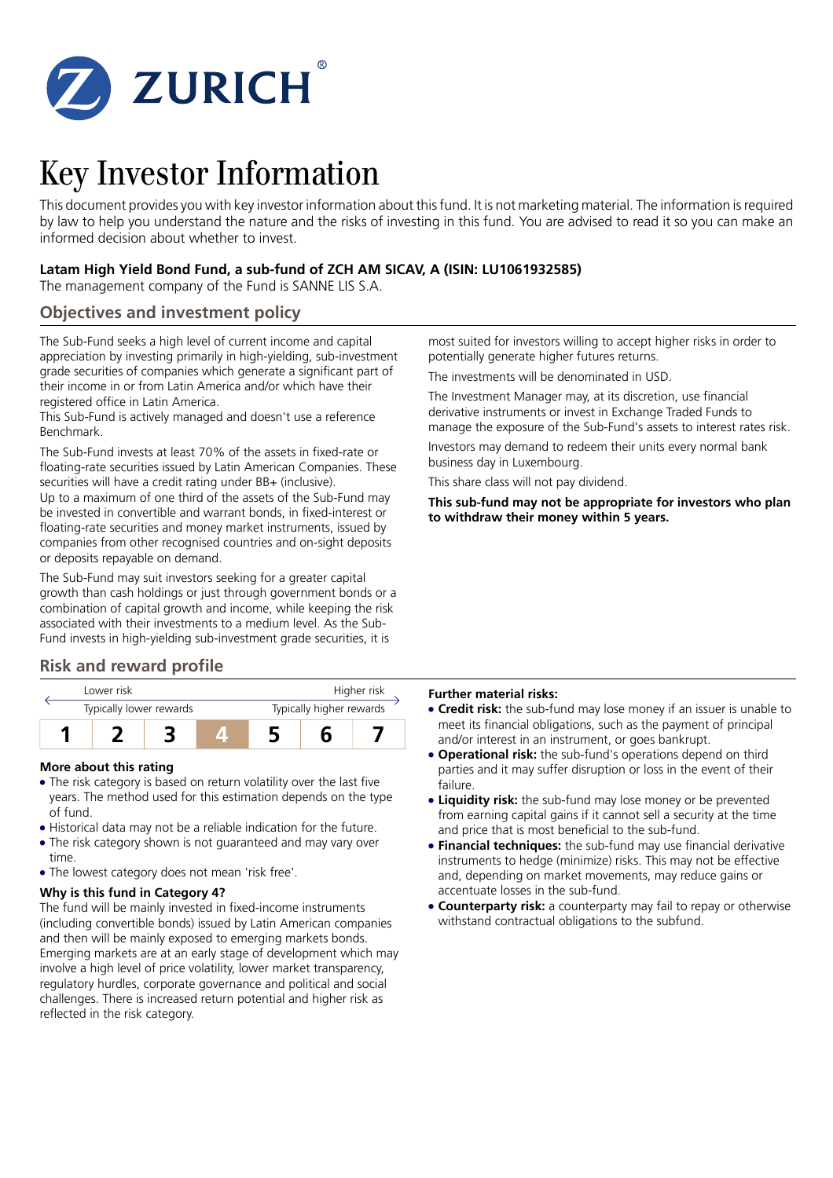

# Key Investor Information

This document provides you with key investor information about this fund. It is not marketing material. The information is required by law to help you understand the nature and the risks of investing in this fund. You are advised to read it so you can make an informed decision about whether to invest.

## **Latam High Yield Bond Fund, a sub-fund of ZCH AM SICAV, A (ISIN: LU1061932585)**

The management company of the Fund is SANNE LIS S.A.

## **Objectives and investment policy**

The Sub-Fund seeks a high level of current income and capital appreciation by investing primarily in high-yielding, sub-investment grade securities of companies which generate a significant part of their income in or from Latin America and/or which have their registered office in Latin America.

This Sub-Fund is actively managed and doesn't use a reference Benchmark.

The Sub-Fund invests at least 70% of the assets in fixed-rate or floating-rate securities issued by Latin American Companies. These securities will have a credit rating under BB+ (inclusive). Up to a maximum of one third of the assets of the Sub-Fund may

be invested in convertible and warrant bonds, in fixed-interest or floating-rate securities and money market instruments, issued by companies from other recognised countries and on-sight deposits or deposits repayable on demand.

The Sub-Fund may suit investors seeking for a greater capital growth than cash holdings or just through government bonds or a combination of capital growth and income, while keeping the risk associated with their investments to a medium level. As the Sub-Fund invests in high-yielding sub-investment grade securities, it is

# **Risk and reward profile**

| Lower risk              |  |  | Higher risk              |  |  |  |
|-------------------------|--|--|--------------------------|--|--|--|
| Typically lower rewards |  |  | Typically higher rewards |  |  |  |
|                         |  |  |                          |  |  |  |

## **More about this rating**

- The risk category is based on return volatility over the last five years. The method used for this estimation depends on the type of fund.
- Historical data may not be a reliable indication for the future.
- The risk category shown is not guaranteed and may vary over time.
- The lowest category does not mean 'risk free'.

## **Why is this fund in Category 4?**

The fund will be mainly invested in fixed-income instruments (including convertible bonds) issued by Latin American companies and then will be mainly exposed to emerging markets bonds. Emerging markets are at an early stage of development which may involve a high level of price volatility, lower market transparency, regulatory hurdles, corporate governance and political and social challenges. There is increased return potential and higher risk as reflected in the risk category.

most suited for investors willing to accept higher risks in order to potentially generate higher futures returns.

The investments will be denominated in USD.

The Investment Manager may, at its discretion, use financial derivative instruments or invest in Exchange Traded Funds to manage the exposure of the Sub-Fund's assets to interest rates risk.

Investors may demand to redeem their units every normal bank business day in Luxembourg.

This share class will not pay dividend.

**This sub-fund may not be appropriate for investors who plan to withdraw their money within 5 years.**

## **Further material risks:**

- 5 **Credit risk:** the sub-fund may lose money if an issuer is unable to meet its financial obligations, such as the payment of principal and/or interest in an instrument, or goes bankrupt.
- **Operational risk:** the sub-fund's operations depend on third parties and it may suffer disruption or loss in the event of their failure.
- **Liquidity risk:** the sub-fund may lose money or be prevented from earning capital gains if it cannot sell a security at the time and price that is most beneficial to the sub-fund.
- **Financial techniques:** the sub-fund may use financial derivative instruments to hedge (minimize) risks. This may not be effective and, depending on market movements, may reduce gains or accentuate losses in the sub-fund.
- **Counterparty risk:** a counterparty may fail to repay or otherwise withstand contractual obligations to the subfund.